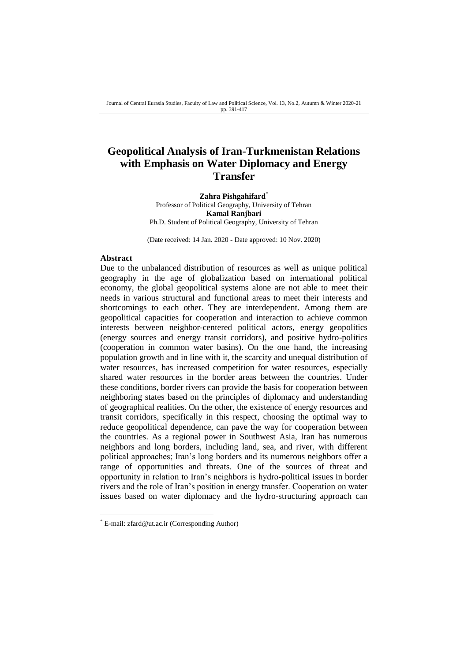## **Geopolitical Analysis of Iran-Turkmenistan Relations with Emphasis on Water Diplomacy and Energy Transfer**

**Zahra Pishgahifard**\* Professor of Political Geography, University of Tehran **Kamal Ranjbari** Ph.D. Student of Political Geography, University of Tehran

(Date received: 14 Jan. 2020 - Date approved: 10 Nov. 2020)

#### **Abstract**

-

Due to the unbalanced distribution of resources as well as unique political geography in the age of globalization based on international political economy, the global geopolitical systems alone are not able to meet their needs in various structural and functional areas to meet their interests and shortcomings to each other. They are interdependent. Among them are geopolitical capacities for cooperation and interaction to achieve common interests between neighbor-centered political actors, energy geopolitics (energy sources and energy transit corridors), and positive hydro-politics (cooperation in common water basins). On the one hand, the increasing population growth and in line with it, the scarcity and unequal distribution of water resources, has increased competition for water resources, especially shared water resources in the border areas between the countries. Under these conditions, border rivers can provide the basis for cooperation between neighboring states based on the principles of diplomacy and understanding of geographical realities. On the other, the existence of energy resources and transit corridors, specifically in this respect, choosing the optimal way to reduce geopolitical dependence, can pave the way for cooperation between the countries. As a regional power in Southwest Asia, Iran has numerous neighbors and long borders, including land, sea, and river, with different political approaches; Iran's long borders and its numerous neighbors offer a range of opportunities and threats. One of the sources of threat and opportunity in relation to Iran's neighbors is hydro-political issues in border rivers and the role of Iran's position in energy transfer. Cooperation on water issues based on water diplomacy and the hydro-structuring approach can

<sup>\*</sup> E-mail: zfard@ut.ac.ir (Corresponding Author)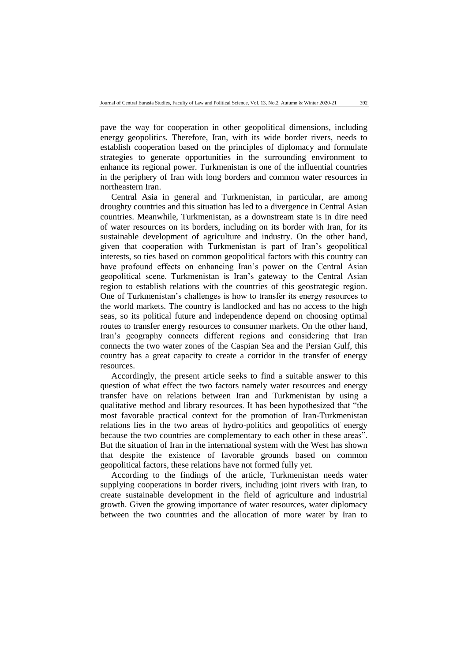pave the way for cooperation in other geopolitical dimensions, including energy geopolitics. Therefore, Iran, with its wide border rivers, needs to establish cooperation based on the principles of diplomacy and formulate strategies to generate opportunities in the surrounding environment to enhance its regional power. Turkmenistan is one of the influential countries in the periphery of Iran with long borders and common water resources in northeastern Iran.

Central Asia in general and Turkmenistan, in particular, are among droughty countries and this situation has led to a divergence in Central Asian countries. Meanwhile, Turkmenistan, as a downstream state is in dire need of water resources on its borders, including on its border with Iran, for its sustainable development of agriculture and industry. On the other hand, given that cooperation with Turkmenistan is part of Iran's geopolitical interests, so ties based on common geopolitical factors with this country can have profound effects on enhancing Iran's power on the Central Asian geopolitical scene. Turkmenistan is Iran's gateway to the Central Asian region to establish relations with the countries of this geostrategic region. One of Turkmenistan's challenges is how to transfer its energy resources to the world markets. The country is landlocked and has no access to the high seas, so its political future and independence depend on choosing optimal routes to transfer energy resources to consumer markets. On the other hand, Iran's geography connects different regions and considering that Iran connects the two water zones of the Caspian Sea and the Persian Gulf, this country has a great capacity to create a corridor in the transfer of energy resources.

Accordingly, the present article seeks to find a suitable answer to this question of what effect the two factors namely water resources and energy transfer have on relations between Iran and Turkmenistan by using a qualitative method and library resources. It has been hypothesized that "the most favorable practical context for the promotion of Iran-Turkmenistan relations lies in the two areas of hydro-politics and geopolitics of energy because the two countries are complementary to each other in these areas". But the situation of Iran in the international system with the West has shown that despite the existence of favorable grounds based on common geopolitical factors, these relations have not formed fully yet.

According to the findings of the article, Turkmenistan needs water supplying cooperations in border rivers, including joint rivers with Iran, to create sustainable development in the field of agriculture and industrial growth. Given the growing importance of water resources, water diplomacy between the two countries and the allocation of more water by Iran to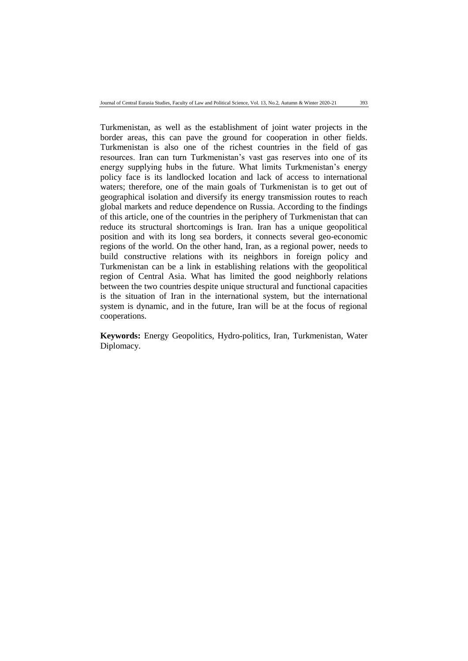Turkmenistan, as well as the establishment of joint water projects in the border areas, this can pave the ground for cooperation in other fields. Turkmenistan is also one of the richest countries in the field of gas resources. Iran can turn Turkmenistan's vast gas reserves into one of its energy supplying hubs in the future. What limits Turkmenistan's energy policy face is its landlocked location and lack of access to international waters; therefore, one of the main goals of Turkmenistan is to get out of geographical isolation and diversify its energy transmission routes to reach global markets and reduce dependence on Russia. According to the findings of this article, one of the countries in the periphery of Turkmenistan that can reduce its structural shortcomings is Iran. Iran has a unique geopolitical position and with its long sea borders, it connects several geo-economic regions of the world. On the other hand, Iran, as a regional power, needs to build constructive relations with its neighbors in foreign policy and Turkmenistan can be a link in establishing relations with the geopolitical region of Central Asia. What has limited the good neighborly relations between the two countries despite unique structural and functional capacities is the situation of Iran in the international system, but the international system is dynamic, and in the future, Iran will be at the focus of regional cooperations.

**Keywords:** Energy Geopolitics, Hydro-politics, Iran, Turkmenistan, Water Diplomacy.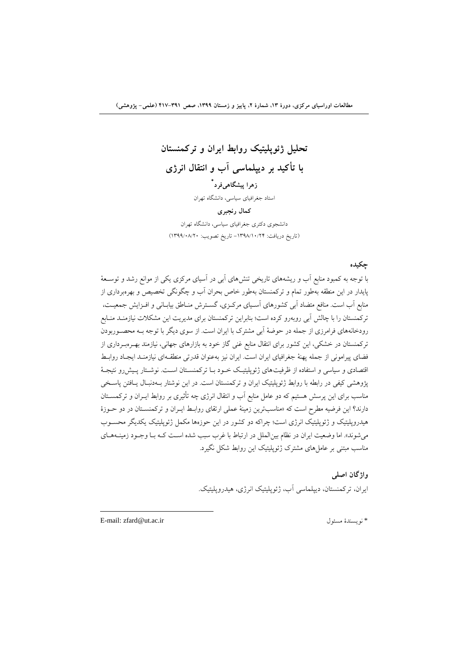# **تحليل ژئوپليتيک روابط ایران و تركمنستان با تأكيد بر دیپلماسی آب و انتقال انرژي \* زهرا پيشگاهیفرد**

استاد جغرافیای سیاسی، دانشگاه تهران

#### **كمال رنجبري**

دانشجوی دکتری جغرافیای سیاسی، دانشگاه تهران )تاریخ دریافت: -0931/01/42 تاریخ تصویب: 0933/11/41(

## **چکيده**

با توجه به کمبود منابع آب و ریشههای تاریخی تنشهای آبی در آسیای مرکزی یکی از موانع رشد و توسعۀ پایدار در این منطقه بهطور تمام و ترکمنستان بهطور خاص بحران آب و چگونگی تخصیص و بهرهبرداری از منابع آب است. منافع متضاد آبی کشورهای آسـیای مرکـزی، گسـترش منـاطق بیابـانی و افـزایش جمعیـت، ترکمنستان را با چالش آبی روبهرو کرده است؛ بنابراین ترکمنستان برای مدیریت این مشکالت نیازمنعد منعابع رودخانههای فرامرزی از جمله در حوضهٔ آبی مشترک با ایران است. از سوی دیگر با توجه بـه محصـوربودن ترکمنستان در خشکی، این کشور برای انتقال منابع غنی تاز خود به بازارهای جهانی، نیازمند بهعره بعرداری از فضای پیرامونی از جمله پهنهٔ جغرافیای ایران است. ایران نیز بهعنوان قدرتی منطقـهای نیازمنـد ایجـاد روابـط اقتصادی و سیاسی و استفاده از ظرفیتهای ژئوپلیتیک خـود بـا ترکمنسـتان اسـت. نوشـتار پـیش(و نتیجـهٔ پژوهشی کیفی در رابطه با روابط ژئوپلیتیک ایران و ترکمنستان است. در این نوشتار بـهدنبـال یـافتن پاسـخی مناسب برای این پرسش هستیم که دو عامل منابع آب و انتقال انرژی چه تأثیری بر روابط ایــران و ترکمســتان دارند؟ این فرضیه مطرح است که «مناسبترین زمینهٔ عملی ارتقای روابـط ایــران و ترکمنســتان در دو حــوزهٔ هیدروپلیتیک و ژئوپلیتیک انرژی است؛ چراکه دو کشور در این حوزهها مکمل ژئوپلیتیک یکدیگر محسـوب می شوند». اما وضعیت ایران در نظام بین الملل در ارتباط با غرب سبب شده است کـه بـا وجـود زمینــههـای مناسب مبتنی بر عاملهای مشترک ژئوپلیتیک این روابط شکل نگیرد.

> **واژگان اصلی** ایران، ترکمنستان، دیپلماسی آب، ژئوپلیتیک انرژی، هیدروپلیتیک.

E-mail: zfard@ut.ac.ir مسئول نویسند\*

**.**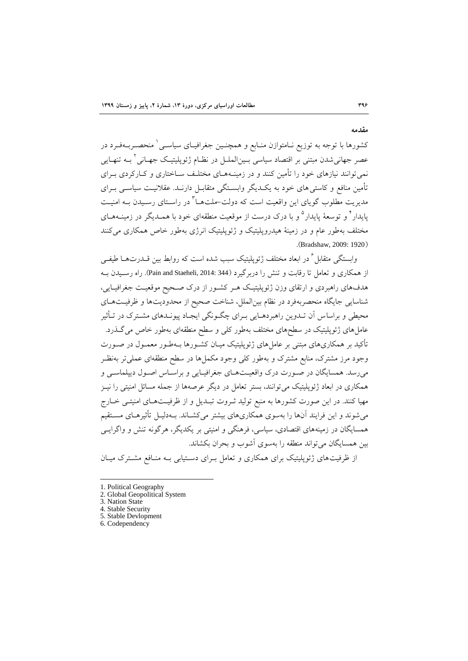**مقدمه**

کشورها با توجه به توزیع نـامتوازن منـابع و همچنـین جغرافیـای سیاسـی ٰ منحصـربــهفـرد در عصر جهانیشدن مبتنی بر اقتصاد سیاسی بـین|لملــل در نظــام ژئوپلیتیـک جهــانی ٔ بــه تنهــایی نمی توانند نیازهای خود را تأمین کنند و در زمینـههـای مختلـف سـاختاری و کــارکردی بــرای تأمین منافع و کاستی های خود به یک دیگر وابستگی متقابـل دارنـد. عقلانیـت سیاسـی بـرای مدیریت مطلوب گویای این واقعیت است که دولت–ملتهــا ً در راسـتای رسـیدن بــه امنیــت پایدار<sup>۲</sup> و توسعهٔ پایدار<sup>۵</sup> و با درک درست از موقعیت منطقهای خود با همــدیگر در زمینــههــای مختلف بهطور عام و در زمینهٔ هیدروپلیتیک و ژئوپلیتیک انرژی بهطور خاص همکاری می کنند .(Bradshaw, 2009: 1920)

وابستگی متقابل <sup>7</sup> در ابعاد مختلف ژئوپلیتیک سبب شده است که روابط بین قــدرتهــا طیفــی از همکاری و تعامل تا رقابت و تنش را دربرگیرد (344 :Pain and Staeheli, 2014). راه رسـیدن بـه هدفهای راهبردی و ارتقای وزن ژئوپلیتیک هـر کشـور از درک صـحیح موقعیـت جغرافیـایی، شناسایی جایگاه منحصربهفرد در نظام بینالملل، شناخت ححیق از محدودیتها و ظرفیعت هعای محیطی و براساس آن تعدوین راهبردهعایی بعرای چگعونگی ایجعاد پیونعدهای مشعترک در تعأثیر عاملهای ژئوپلیتیک در سطحهای مختلف بهطور کلی و سطح منطقهای بهطور خاص می گـذرد. تأکید بر همکاریهای مبتنی بر عاملهای ژئوپلیتیک میـان کشـورها بـهطـور معمـول در صـورت وجود مرز مشترک، منابع مشترک و بهطور کلی وجود مکملها در سطق منطقهای عملیتر بهنظعر میرسد. همسایگان در صـورت درک واقعیـتهـای جغرافیـایی و براسـاس اصـول دیپلماسـی و همکاری در ابعاد ژئوپلیتیک می توانند، بستر تعامل در دیگر عرصهها از جمله مسائل امنیتی را نیــز مهیا کنند. در این صورت کشورها به منبع تولید ثـروت تبـدیل و از ظرفیـتهـای امنیتـی خـارج میشوند و این فرایند آنها را بهسوی همکاریهای بیشتر میکشعاند. بعه دلیعل تأثیرهعای مسعتقیم همسایگان در زمینههای اقتصادی، سیاسی، فرهنگی و امنیتی بر یکدیگر، هرتونه تنش و واترایعی بین همسایگان میتواند منطقه را بهسوی آشوب و بحران بکشاند.

از ظرفیتهای ژئوپلیتیک برای همکاری و تعامل بـرای دسـتیابی بـه منـافع مشـترک میـان

<sup>1.</sup> Political Geography

<sup>2.</sup> Global Geopolitical System

<sup>3.</sup> Nation State

<sup>4.</sup> Stable Security 5. Stable Devlopment

<sup>6.</sup> Codependency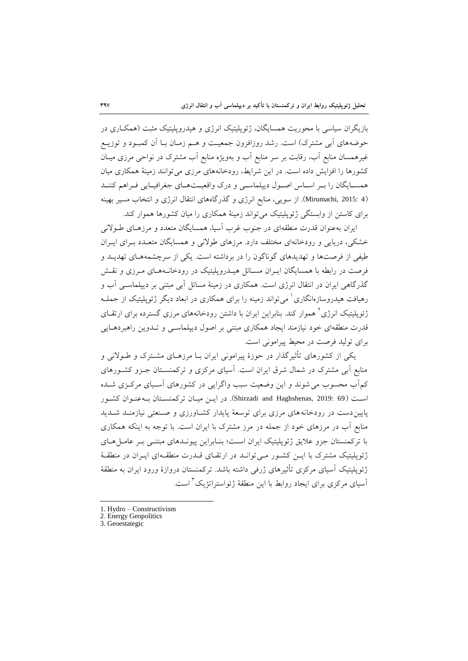بازیگران سیاسی با محوریت همسایگان، ژئوپلیتیک انرژی و هیدروپلیتیک مثبت (همکـاری در حوضههای آبی مشترک) است. رشد روزافزون جمعیت و هـم زمـان بـا آن کمبـود و توزيـع غیرهمسان منابع آب، رقابت بر سر منابع آب و بهویژه منابع آب مشترک در نواحی مرزی میعان کشورها را افزایش داده است. در این شرایط، رودخانههای مرزی می توانند زمینهٔ همکاری میان همسـایگان را بـر اسـاس اصـول دیپلماسـی و درک واقعیـتهـای جغرافیـایی فـراهم کننـد )4 2015: ,Mirumachi). از سویی، منابع انرژی و تررتاههای انتقال انرژی و انتخاب مسیر بهینه برای کاستن از وابستگی ژئوپلیتیک میتواند زمینهٔ همکاری را میان کشورها هموار کند.

ایران بهعنوان قدرت منطقهای در جنوب غرب آسیا، همسایگان متعدد و مرزهـای طـولانی خشکی، دریایی و رودخانهای مختلف دارد. مرزهای طولانی و همسایگان متعـدد بـرای ایـران طیفی از فرحتها و تهدیدهای توناتون را در برداشته است. یکی از سرچشمههعای تهدیعد و فرصت در رابطه با همسایگان ایـران مسـائل هیـدروپلیتیک در رودخانـههـای مـرزی و نقـش گذرگاهی ایران در انتقال انرژی است. همکاری در زمینهٔ مسائل آبی مبتنی بر دیپلماسـی آب و رهیافت هیدروسازهانگاری<sup>'</sup> میتواند زمینه را برای همکاری در ابعاد دیگر ژئوپلیتیک از جملــه زئوپلیتیک انرژی<sup>٬</sup> هموار کند. بنابراین ایران با داشتن رودخانههای مرزی گسترده برای ارتقــای قدرت منطقهای خود نیازمند ایجاد همکاری مبتنی بر احول دیپلماسعی و تعدوین راهبردهعایی برای تولید فرصت در محیط پیرامونی است.

یکی از کشورهای تأثیرگذار در حوزهٔ پیرامونی ایران بـا مرزهـای مشـترک و طــولانی و منابع آبی مشترک در شمال شرق ایران است. آسیای مرکزی و ترکمنسعتان جعزو کشعورهای کمآب محسوب می شوند و این وضعیت سبب واگرایی در کشورهای آسـیای مرکــزی شــده اسعت )69 2019: ,Haghshenas and Shirzadi). در ایعن میعان ترکمنسعتان بعه عنعوان کشعور پایین دست در رودخانههای مرزی برای توسعهٔ پایدار کشاورزی و صنعتی نیازمنـد شـدید منابع آب در مرزهای خود از جمله در مرز مشترک با ایران است. با توجه به اینکه همکاری با ترکمنستان جزو علایق ژئوپلیتیک ایران است؛ بنـابراین پیونـدهای مبتنـی بـر عامـل هـای ژئوپلیتیک مشترک با ایــن کشــور مــی توانــد در ارتقــای قــدرت منطقــهای ایــران در منطقــهٔ ژئوپلیتیک آسیای مرکزی تأثیرهای ژرفی داشته باشد. ترکمنستان دروازهٔ ورود ایران به منطقهٔ <sup>ا</sup>سیای مرکزی برای ایجاد روابط با این منطقهٔ ژئواستراتژیک <sup>۲</sup> است.

- 1. Hydro Constructivism
- 2. Energy Geopolitics
- 3. Geoestategic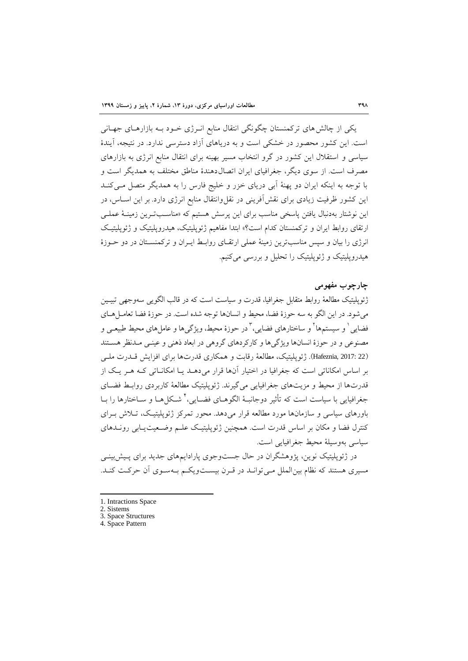یکی از چالشهای ترکمنستان چگونگی انتقال منابع انعرژی خعود بعه بازارهعای جهعانی است. این کشور محصور در خشکی است و به دریاهای آزاد دسترسی ندارد. در نتیجه، آیند سیاسی و استقالل این کشور در ترو انتخاب مسیر بهینه برای انتقال منابع انرژی به بازارهای مصرف است. از سوی دیگر، جغرافیای ایران اتصال۱دهندهٔ مناطق مختلف به همدیگر است و با توجه به اینکه ایران دو پهنهٔ آبی دریای خزر و خلیج فارس را به همدیگر متصل مــیکنــد این کشور ظرفیت زیادی برای نقشآفرینی در نقلوانتقال منابع انرژی دارد. بر این اسعاس، در این نوشتار بهدنبال یافتن پاسخی مناسب برای این پرسش هستیم که «مناسبترین زمینهٔ عمل<sub>ع</sub> ارتقای روابط ایران و ترکمنستان کدام است؟» ابتدا مفاهیم ژئوپلیتیک، هیدروپلیتیک و ژئوپلیتیک انرژی را بیان و سپس مناسبترین زمینهٔ عملی ارتقـای روابـط ایـران و ترکمنسـتان در دو حـوزهٔ هیدروپلیتیک و ژئوپلیتیک را تحلیل و بررسی میکنیم.

### **چارچوب مفهومی**

ژئوپلیتیک مطالعۀ روابط متقابل جغرافیا، قدرت و سیاست است که در قالب الگویی سهوجهی تبیـین می شود. در این الگو به سه حوزهٔ فضا، محیط و انسانها توجه شده است. در حوزهٔ فضا تعامـل هـای فضایی ٰ و سیستمها ٗ و ساختارهای فضایی، ؑ در حوزهٔ محیط، ویژگیها و عاملهای محیط طبیعـی و مصنوعی و در حوزهٔ انسانها ویژگیها و کارکردهای گروهی در ابعاد ذهنی و عینـی مـدنظر هسـتند (Hafeznia, 2017: 22). ژئوپلیتیک، مطالعۀ رقابت و همکاری قدرتها برای افزایش قـدرت ملـے بر اساس امکاناتی است که جغرافیا در اختیار آنها قرار می دهـد یـا امکانـاتی کـه هـر یـک از قدرتها از محیط و مزیتهای جغرافیایی می گیرند. ژئوپلیتیک مطالعۀ کاربردی روابط فضای جغرافیایی با سیاست است که تأثیر دوجانبـهٔ الگوهــای فضــایی،<sup>۲</sup> شــکلهــا و ســاختارها را بــا باورهای سیاسی و سازمانها مورد مطالعه قرار می دهد. محور تمرکز ژئوپلیتیک، تـلاش بـرای کنترل فضا و مکان بر اساس قدرت است. همچنین ژئوپلیتیک علـم وضـعیت یـابی رونــدهای سیاسی بهوسیلهٔ محیط جغرافیایی است.

در ژئوپلیتیک نوین، پژوهشگران در حال جستوجوی پارادایمهای جدید برای پـیش!بینـی مسیری هستند که نظام بینالملل معی توانعد در قعرن بیسعت ویکعم بعه سعوی آن حرکعت کنعد .

<sup>1.</sup> Intractions Space

<sup>2.</sup> Sistems

<sup>3.</sup> Space Structures 4. Space Pattern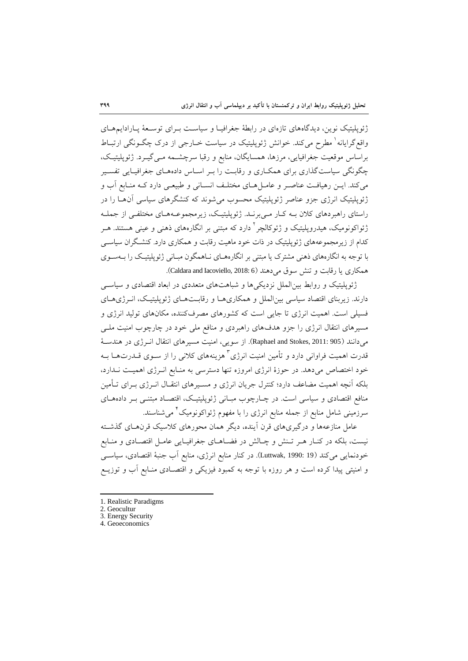ژئوپلیتیک نوین، دیدگاههای تازهای در رابطهٔ جغرافیـا و سیاسـت بـرای توسـعۀ پـارادایـمهــای واقع گرایانه<sup>ا</sup> مطرح میکند. خوانش ژئوپلیتیک در سیاست خــارجی از درک چگــونگی ارتبــاط براساس موقعیت جغرافیایی، مرزها، همسایگان، منابع و رقبا سرچشـمه مـی گیــرد. ژئوپلیتیـک، چگونگی سیاست گذاری برای همکـاری و رقابـت را بـر اسـاس دادههـای جغرافیـایی تفسـیر میکند. ایــن رهیافـت عناصـر و عامــل هــای مختلــف انســانی و طبیعــی دارد کــه منــابع آب و ژئوپلیتیک انرژی جزو عناصر ژئوپلیتیک محسوب میشوند که کنشگرهای سیاسی آن ها را در راستای راهبردهای کلان بـه کـار مـیبرنــد. ژئوپلیتیـک، زیرمجموعــههـای مختلفـی از جملـه زئواکونومیک، هیدروپلیتیک و ژئوکالچر<sup>۲</sup> دارد که مبتنی بر انگارههای ذهنی و عینی هستند. هــر کدام از زیرمجموعههای ژئوپلیتیک در ذات خود ماهیت رقابت و همکاری دارد. کنشگران سیاســی با توجه به انگارههای ذهنی مشترک یا مبتنی بر انگارههـای نـاهمگون مبـانی ژئوپلیتیـک را بــهســوی همکاری یا رقابت و تنش سوق می دهند (Caldara and Iacoviello, 2018: 6).

ژئوپلیتیک و روابط بین الملل نزدیکیها و شباهتهای متعددی در ابعاد اقتصادی و سیاسـی دارند. زیربنای اقتصاد سیاسی بین الملل و همکاری هـا و رقابـتهـای ژئوپلیتیـک، انــرژیهـای فسیلی است. اهمیت انرژی تا جایی است که کشورهای مصرفکننده، مکانهای تولید انرژی و مسیرهای انتقال انرژی را جزو هدفهای راهبردی و منافع ملی خود در چارچوب امنیت ملعی میدانند (Raphael and Stokes, 2011: 905). از سویی، امنیت مسیرهای انتقال انوژی در هندسـهٔ قدرت اهمیت فراوانی دارد و تأمین امنیت انرژی<sup>۲</sup> هزینههای کلانی را از ســوی قــدرتهــا بــه خود اختصاص می دهد. در حوزهٔ انرژی امروزه تنها دسترسی به منـابع انـرژی اهمیـت نـدارد، بلکه آنچه اهمیت مضاعف دارد؛ کنترل جریان انرژی و مسـیرهای انتقـال انــرژی بــرای تــأمین منافع اقتصادی و سیاسی است. در چـارچوب مبـانی ژئوپلیتیـک، اقتصـاد مبتنـبی بـر دادههـای سرزمینی شامل منابع از جمله منابع انرژی را با مفهوم ژئواکونومیک<sup>۲</sup> میشناسند.

عامل منازعهها و درگیریهای قرن آینده، دیگر همان محورهای کلاسیک قرنهـای گذشـته نیست، بلکه در کنـار هـر تـنش و چـالش در فضـاهـای جغرافیـایی عامـل اقتصـادی و منـابع خودنمایی میکند (Luttwak, 1990: 19). در کنار منابع انرژی، منابع آب جنبهٔ اقتصادی، سیاســی و امنیتی پیدا کرده است و هر روزه با توجه به کمبود فیزیکی و اقتصعادی منعابع آب و توزیعع

<sup>1.</sup> Realistic Paradigms

<sup>2.</sup> Geocultur

<sup>3.</sup> Energy Security

<sup>4.</sup> Geoeconomics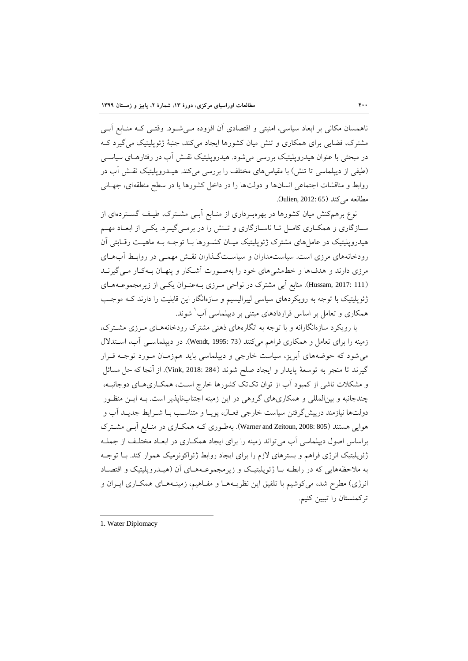ناهمسان مکانی بر ابعاد سیاسی، امنیتی و اقتصادی آن افزوده مـی شـود. وقتـی کـه منـابع آبـی مشترک، فضایی برای همکاری و تنش میان کشورها ایجاد میکند، جنبهٔ ژئوپلیتیک می گیرد ک در مبحثی با عنوان هیدروپلیتیک بررسی می شود. هیدروپلیتیک نقـش آب در رفتارهـای سیاســی (طیفی از دیپلماسی تا تنش) با مقیاس های مختلف را بررسی میکند. هیــدروپلیتیک نقـش آب در روابط و مناقشات اجتماعی انسانها و دولتها را در داخل کشورها یا در سطح منطقهای، جهـانی مطالعه میکند (Julien, 2012: 65).

نوع برهمکنش میان کشورها در بهرهبـرداری از منـابع آبــی مشــترک، طیـف گســتردهای از سـازگاری و همکـاری کامـل تـا ناسـازگاری و تـنش را در برمـی&یـرد. یکـی از ابعـاد مهـم هیدروپلیتیک در عامل های مشترک ژئوپلیتیک میـان کشـورها بـا توجـه بـه ماهیـت رقـابتی آن رودخانههای مرزی است. سیاستمداران و سیاستگذاران نقـش مهمـی در روابـط آبِهـای مرزی دارند و هدفها و خطمشیهای خود را بهصورت آشکار و پنهـان بـهکـار مـی گیرنــد (Hussam, 2017: 111). منابع آبی مشترک در نواحی مـرزی بـهعنـوان یکـی از زیرمجموعـههـای ژئوپلیتیک با توجه به رویکردهای سیاسی لیبرالیسیم و سازهانگار این قابلیت را دارند کـه موجـب همکاری و تعامل بر اساس قراردادهای مبتنی بر دیپلماسی آب<sup>'</sup> شوند.

با رویکرد سازهانگارانه و با توجه به انگارههای ذهنی مشترک رودخانههعای معرزی مشعترک، زمینه را برای تعامل و همکاری فراهم میکنند (Wendt, 1995: 73). در دیپلماسـی آب، اسـتدلال میشود که حوضههای آبریز، سیاست خارجی و دیپلماسی باید همزمعان معورد توجعه قعرار تیرند تا منجر به توسۀ پایدار و ایجاد حلق شوند )284 2018: ,Vink). از آنجا که حل مسائل و مشکلات ناشی از کمبود آب از توان تکتک کشورها خارج است، همکــاری۱عـای دوجانبــه، چندجانبه و بینالمللی و همکاریهای تروهی در این زمینه اجتنابناپریر است. بعه ایعن منظعور دولتها نیازمند درپیش گرفتن سیاست خارجی فعـال، پویـا و متناسـب بـا شــرایط جدیــد آب و هوایی هستند (805 :Warner and Zeitoun, 2008). بهطوری کـه همکـاری در منـابع آبـی مشـترک براساس اصول دیپلماسی آب می تواند زمینه را برای ایجاد همکـاری در ابعـاد مختلـف از جملـه ژئوپلیتیک انرژی فراهم و بسترهای لازم را برای ایجاد روابط ژئواکونومیک هموار کند. بـا توجـه به ملاحظههایی که در رابطـه بـا ژئوپلیتیک و زیرمجموعـههـای آن (هیـدروپلیتیک و اقتصـاد انرژی) مطرح شد، میکوشیم با تلفیق این نظریـههـا و مفـاهیم، زمینـههـای همکـاری ایــران و ترکمنستان را تبیین کنیم.

<sup>1.</sup> Water Diplomacy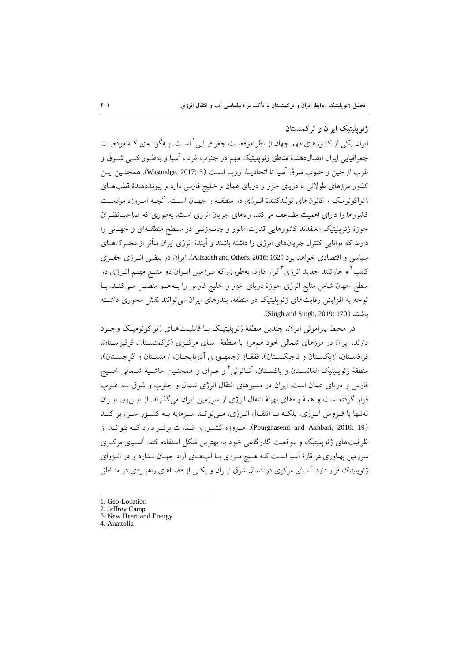## **ژئوپليتيک ایران و تركمنستان**

ایران یکی از کشورهای مهم جهان از نظر موقعیت جغرافیـایی ٰ اسـت. بـهگونـهای کـه موقعیـت جغرافیایی ایران اتصالدهندهٔ مناطق ژئوپلیتیک مهم در جنوب غرب آسیا و بهطـور کلـبی شــرق و غرب از چین و جنوب شرق آسیا تا اتحادیع اروپعا اسعت )5 2017: ,Wastnidge). همینعین ایعن کشور مرزهای طولانی با دریای خزر و دریای عمان و خلیج فارس دارد و پیونددهندهٔ قطبهای ژئواکونومیک و کانون های تولیدکنندهٔ انبرژی در منطقـه و جهـان اسـت. آنچـه امـروزه موقعیـت کشورها را دارای اهمیت مضاعف میکند، راههای جریان انرژی است. بهطوری که صاحبنظران حوزهٔ ژئوپلیتیک معتقدند کشورهایی قدرت مانور و چان1دزنـی در سـطح منطقـهای و جهـانی را دارند که توانایی کنترل جریانهای انرژی را داشته باشند و آیندهٔ انرژی ایران متأثر از محـرک۱هـای سیاسی و اقتصادی خواهد بود )162 2016: ,Others and Alizadeh). ایران در بیضی انعرژی جفعری کمپ ٔ و هارتلند جدید انرژی ٔ قرار دارد. بهطوری که سرزمین ایــران دو منبــع مهــم انــرژی در سطح جهان شامل منابع انرژی حوزهٔ دریای خزر و خلیج فارس را بـههـم متصـل مـیکنـد. بـا توجه به افزایش رقابتهای ژئوپلیتیک در منطقه، بندرهای ایران می توانند نقش محوری داشته .)Singh and Singh, 2019: 170( باشند

در محیط پیرامونی ایران، چندین منطقهٔ ژئوپلیتیک بـا قابلیـتهـای ژئواکونومیـک وجـود دارند، ایران در مرزهای شمالی خود هممرز با منطقهٔ آسیای مرکـزی (ترکمنسـتان، قرقیزسـتان، قزاقسـتان، ازبکسـتان و تاجیکسـتان)، قفقـاز (جمهـوری آذربایجـان، ارمنسـتان و گرجسـتان)، منطقهٔ ژئوپلیتیک افغانســتان و پاکســتان، آنــاتولی ٔ و عــراق و همچنــین حاشــیهٔ شــمالی خلــیج فارس و دریای عمان است. ایران در مسیرهای انتقال انرژی شمال و جنوب و شرق بعه غعرب قرار گرفته است و همهٔ راههای بهینهٔ انتقال انرژی از سرزمین ایران میگذرند. از ایـنرو، ایـران نه تنها با فـروش انـرژی، بلکـه بـا انتقـال انـرژی، مـی توانـد سـرمایه بـه کشـور سـرازیر کنـد )19 2018: ,Akhbari and Pourghasemi). امعروزه کشععوری قعدرت برتععر دارد کععه بتوانععد از ظرفیتهای ژئوپلیتیک و موقعیت گذرگاهی خود به بهترین شکل استفاده کند. آسـیای مرکـزی سرزمین پهناوری در قارهٔ آسیا است کـه هـیچ مـرزی بـا آبهـای آزاد جهـان نـدارد و در انــزوای ژئوپلیتیک قرار دارد. آسیای مرکزی در شمال شرق ایـران و یکـبی از فضـاهای راهبـردی در منــاطق

- 2. Jeffrey Camp 3. New Heartland Energy
- 4. Anattolia

<sup>1.</sup> Geo-Location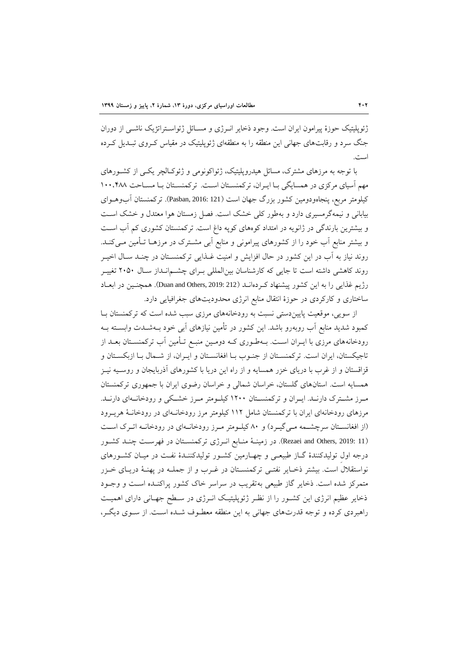ژئوپلیتیک حوزهٔ پیرامون ایران است. وجود ذخایر انـرژی و مســائل ژئواســتراتژیک ناشــی از دوران جنگ سرد و رقابتهای جهانی این منطقه را به منطقهای ژئوپلیتیک در مقیاس کـروی تبـدیل کـرده است.

با توجه به مرزهای مشترک، مسائل هیدروپلیتیک، ژئواکونومی و ژئوکـالچر یکـی از کشـورهای مهم آسیای مرکزی در همسایگی بـا ایـران، ترکمنسـتان اسـت. ترکمنسـتان بـا مسـاحت ١٠٠،۴٨٨ کیلومتر مربع، پنجاهودومین کشور بزرگ جهان است )121 2016: ,Pasban). ترکمنستان آبوهعوای بیابانی و نیمهگرمسیری دارد و بهطور کلی خشک است. فصل زمستان هوا معتدل و خشک است و بیشترین بارندتی در ژانویه در امتداد کوههای کوپه داغ است. ترکمنستان کشوری کم آب اسعت و بیشتر منابع آب خود را از کشورهای پیرامونی و منابع آبی مشعترک در مرزهعا تعأمین معی کنعد. روند نیاز به آب در این کشور در حال افزایش و امنیت غعرایی ترکمنسعتان در چنعد سعال اخیعر روند کاهشی داشته است تا جایی که کارشناسان بینالمللی بـرای چشــمانـداز سـال ۲۰۵۰ تغییــر رژیم غذایی را به این کشور پیشنهاد کـردهانــد (Duan and Others, 2019: 212). همچنــین در ابعــاد ساختاری و کارکردی در حوزهٔ انتقال منابع انرژی محدودیتهای جغرافیایی دارد.

از سویی، موقعیت پایین دستی نسبت به رودخانههای مرزی سبب شده است که ترکمنستان ب کمبود شدید منابع آب روبهرو باشد. این کشور در تأمین نیازهای آبی خود بعه شعدت وابسعته بعه رودخانههای مرزی با ایـران اسـت. بـهطـوری کـه دومـین منبـع تـأمین آب ترکمنسـتان بعـد از تاجیکستان، ایران است. ترکمنسـتان از جنـوب بـا افغانسـتان و ایـران، از شـمال بـا ازبکسـتان و قزاقستان و از غرب با دریای خزر همسایه و از راه این دریا با کشورهای آذربایجان و روسعیه نیعز همسایه است. استانهای تلستان، خراسان شمالی و خراسان رضوی ایران با جمهوری ترکمنستان معرز مشعترک دارنعد. ایعران و ترکمنسعتان 0411 کیلعومتر معرز خشعکی و رودخانعهای دارنعد. مرزهای رودخانهای ایران با ترکمنستان شامل ١١٢ کیلومتر مرز رودخانـهای در رودخانـهٔ هریـرود (از افغانستان سرچشمه معیگیرد) و ۸۰ کیلومتر مـرز رودخانـهای در رودخانـه اتـرک اسـت )11 2019: ,Others and Rezaei). در زمینع منعابع انعرژی ترکمنسعتان در فهرسعت چنعد کشعور درجه اول تولیدکنندهٔ گـاز طبیعـی و چهـارمین کشـور تولیدکننـدهٔ نفـت در میـان کشـورهای نواستقالل است. بیشتر ذخعایر نفتعی ترکمنسعتان در غعرب و از جملعه در پهنع دریعای خعزر متمرکز شده است. ذخایر گاز طبیعی بهتقریب در سراسر خاک کشور پراکنـده اسـت و وجـود ذخایر عظیم انرژی این کشـور را از نظـر ژئوپلیتیـک انـرژی در سـطح جهـانی دارای اهمیـت راهبردی کرده و توجه قدرتهای جهانی به این منطقه معطـوف شـده اسـت. از سـوی دیگـر،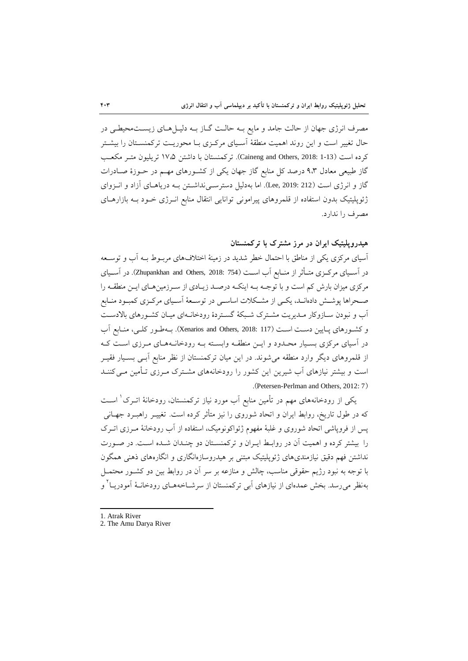مصرف انرژی جهان از حالت جامد و مایع بـه حالـت گـاز بـه دلیـلهـای زیسـتمحیطـی در حال تغییر است و این روند اهمیت منطقهٔ آسـیای مرکـزی بـا محوریـت ترکمنســتان را بیشــتر کرده است (Caineng and Others, 2018: 1-13). ترکمنستان با داشتن ۱۷،۵ تریلیون متـر مکعـب گاز طبیعی معادل ۹،۳ درصد کل منابع گاز جهان یکی از کشـورهای مهـم در حـوزهٔ صـادرات گاز و انرژی است (212 2019: Lee, 2019). اما بهدلیل دسترســیiداشــتن بــه دریاهـای آزاد و انــزوای ژئوپلیتیک بدون استفاده از قلمروهای پیرامونی توانایی انتقال منابع انـرژی خـود بـه بازارهـای مصرف را ندارد.

**هيدروپليتيک ایران در مرز مشترک با تركمنستان**

آسیای مرکزی یکی از مناطق با احتمال خطر شدید در زمینهٔ اختلافهای مربـوط بـه آب و توسـعه در آسـیای مرکــزی متــأثر از منــابع آب اســت (754 :Zhupankhan and Others, 2018). در آســیای مرکزی میزان بارش کم است و با توجـه بــه اینکــه درصــد زیــادی از ســرزمینهــای ایــن منطقــه را حعحراها پوشعش دادهانعد، یکعی از مشعکالت اساسعی در توسعۀ آسعیای مرکعزی کمبعود منعابع آب و نبودن سـازوکار مـدیریت مشـترک شـبکهٔ گسـتردهٔ رودخانـهای میـان کشـورهای بالادسـت و کشورهای پـایین دسـت اسـت (117 :Xenarios and Others, 2018). بـهطـور کلـی، منـابع آب در آسیای مرکزی بسـیار محـدود و ایــن منطقــه وابسـته بــه رودخانــههـای مــرزی اسـت کــه از قلمروهای دیگر وارد منطقه میشوند. در این میان ترکمنستان از نظر منابع آبعی بسعیار فقیعر است و بیشتر نیازهای آب شیرین این کشور را رودخانههای مشـترک مـرزی تـأمین مـی کننـد .)Petersen-Perlman and Others, 2012: 7(

یکی از رودخانههای مهم در تأمین منابع اَب مورد نیاز ترکمنستان، رودخانهٔ اتــرک` اســت که در طول تاریخ، روابط ایران و اتحاد شوروی را نیز متأثر کرده است. تغییــر راهبــرد جهــانی پس از فروپاشی اتحاد شوروی و غلبهٔ مفهوم ژئواکونومیک، استفاده از آب رودخانهٔ مـرزی اتـرک را بیشتر کرده و اهمیت آن در روابع ایعران و ترکمنسعتان دو چنعدان شعده اسعت. در حعورت نداشتن فهم دقیق نیازمندیهای ژئوپلیتیک مبتنی بر هیدروسازهانگاری و انگارههای ذهنی همگون با توجه به نبود رژیم حقوقی مناسب، چالش و منازعه بر سر آن در روابط بین دو کشـور محتمــل بهنظر میرسد. بخش عمدهای از نیازهای آبی ترکمنستان از سرشــاخههــای رودخانــهٔ آمودریــا ً و

1. Atrak River

1

2. The Amu Darya River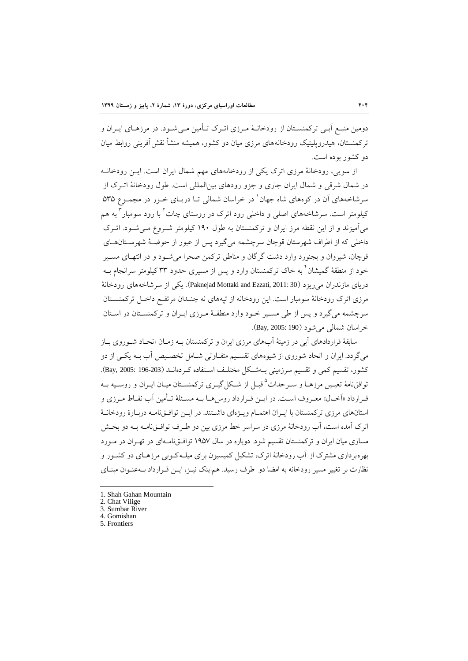دومین منبـع آبـی ترکمنسـتان از رودخانــهٔ مـرزی اتــرک تــأمین مــی شــود. در مرزهــای ایــران و ترکمنستان، هیدروپلیتیک رودخانههای مرزی میان دو کشور، همیشه منشأ نقش آفرینی روابط میان دو کشور بوده است.

از سویی، رودخانهٔ مرزی اترک یکی از رودخانههای مهم شمال ایران است. ایس رودخانـه در شمال شرقی و شمال ایران جاری و جزو رودهای بین|لمللی است. طول رودخانهٔ اتـرک از سرشاخههای آن در کوههای شاه جهان ٰ در خراسان شمالی تـا دریـای خــزر در مجمــوع ۵۳۵ کیلومتر است. سرشاخههای اصلی و داخلی رود اترک در روستای چات ٰ با رود سومبار ٰ به هم میآمیزند و از این نقطه مرز ایران و ترکمنستان به طول 031 کیلومتر شعروع معی شعود. اتعرک داخلی که از اطراف شهرستان قوچان سرچشمه می گیرد پس از عبور از حوضـهٔ شهرسـتانهـای قوچان، شیروان و بجنورد وارد دشت گرگان و مناطق ترکمن صحرا می شـود و در انتهـای مسـیر خود از منطقهٔ گمیشان<sup>۲</sup> به خاک ترکمنستان وارد و پس از مسیری حدود ۳۳ کیلومتر سرانجام بــه دریای مازندران میریزد (30 :Paknejad Mottaki and Ezzati, 2011). یکی از سرشاخههای رودخانهٔ مرزی اترک رودخانهٔ سومبار است. این رودخانه از تپههای نه چنـدان مرتفـع داخـل ترکمنســتان سرچشمه می گیرد و پس از طی مسـیر خـود وارد منطقـهٔ مـرزی ایـران و ترکمنسـتان در اسـتان خراسان شمالی میشود )190 2005: ,Bay).

سابقهٔ قراردادهای آبی در زمینهٔ آبهای مرزی ایران و ترکمنستان بـه زمـان اتحـاد شـوروی بـاز میگردد. ایران و اتحاد شوروی از شیوههای تقسیم متفـاوتی شـامل تخصـیص آب بـه یکـی از دو کشور، تقسیم کمی و تقسیم سرزمینی بـهشـکل مختلـف اسـتفاده کـردهانــد (203-196 :2005). توافقنامهٔ تعیـین مرزهــا و ســرحدات<sup>۵</sup>قبــل از شــکل گیــری ترکمنســتان میــان ایــران و روســیه بــه قـرارداد «آخـال» معـروف اسـت. در ایـن قـرارداد روس٫هـا بـه مسـئلهٔ تـأمین آب نقـاط مـرزی و استانهای مرزی ترکمنستان با ایـران اهتمـام ویـژهای داشـتند. در ایـن توافـقiمامـه دربـارهٔ رودخانـهٔ اترک آمده است، آب رودخانهٔ مرزی در سراسر خط مرزی بین دو طـرف توافــقiامــه بــه دو بخــش مساوی میان ایران و ترکمنستان تقسیم شود. دوباره در سال ۱۹۵۷ توافـقiامـهای در تهـران در مـورد بهرهبرداری مشترک از آب رودخانهٔ اترک، تشکیل کمیسیون برای میلـه کـوبی مرزهـای دو کشـور و نظارت بر تغییر مسیر رودخانه به امضا دو طرف رسید. هماینک نیــز، ایــن قــرارداد بــهعنــوان مبنــای

<sup>1.</sup> Shah Gahan Mountain

<sup>2.</sup> Chat Vilige

<sup>3.</sup> Sumbar River 4. Gomishan

<sup>5.</sup> Frontiers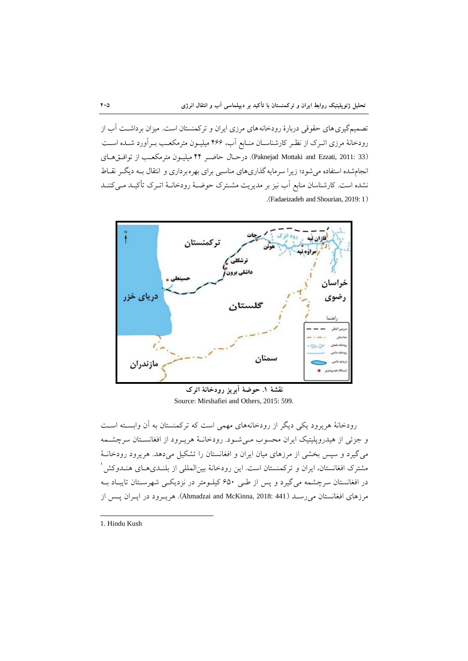تصمیمگیری های حقوقی دربارهٔ رودخانههای مرزی ایران و ترکمنستان است. میزان برداشـت آب از رودخانهٔ مرزی اتـرک از نظـر کارشناسـان منـابع آب، ۴۶۶ میلیـون مترمکعـب بـرآورد شــده اسـت )33 2011: ,Ezzati and Mottaki Paknejad). درحعال حاضعر 22 میلیعون مترمکۀعب از توافعا هعای انجامشده استفاده میشود؛ زیرا سرمایه گذاریهای مناسبی برای بهرهبرداری و انتقال بـه دیگـر نقــاط نشده است. کارشناسان منابع آب نیز بر مدیریت مشـترک حوضـهٔ رودخانـهٔ اتـرک تأکیـد مـیکننـد .)Fadaeizadeh and Shourian, 2019: 1(



**نقشۀ .3 حوضۀ آبریز رودخانۀ اترک** Source: Mirshafiei and Others, 2015: 599.

رودخانهٔ هریرود یکی دیگر از رودخانههای مهمی است که ترکمنستان به آن وابسـته اسـت و جزئی از هیدروپلیتیک ایران محسوب مـیشـود. رودخانـهٔ هریـرود از افغانسـتان سرچشـمه میتیرد و سپس بخشی از مرزهای میان ایران و افغانستان را تشکیل میدهد. هریرود رودخانع مشترک افغانستان، ایران و ترکمنستان است. این رودخانهٔ بینالمللی از بلنــدیهــای هنــدوکش <sup>۱</sup> در افغانستان سرچشمه میگیرد و پس از طـی ۶۵۰ کیلـومتر در نزدیکـی شهرسـتان تایبـاد بـه مرزهای افغانستان میرسـد (441 :Ahmadzai and McKinna, 2018). هریـرود در ایـران پـس از

1. Hindu Kush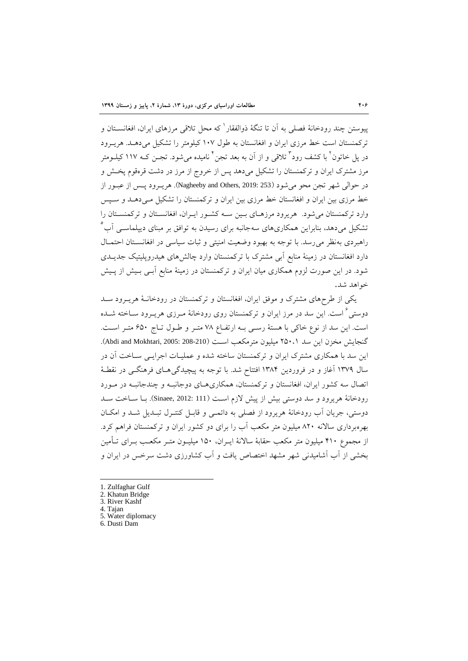پیوستن چند رودخانهٔ فصلی به اَن تا تنگهٔ ذوالفقار که محل تلاقی مرزهای ایران، افغانســتان و ترکمنستان است خط مرزی ایران و افغانستان به طول ۱۰۷ کیلومتر را تشکیل می دهـد. هریـرود در پل خاتون` با کشف رود` تلاقی و از آن به بعد تجن` نامیده میشود. تجــن کــه ۱۱۷ کیلــومتر مرز مشترک ایران و ترکمنستان را تشکیل میدهد پس از خروج از مرز در دشت قرهقوم پخـش و در حوالی شهر تجن محو میشود )253 2019: ,Others and Nagheeby). هریعرود پعس از عبعور از خط مرزی بین ایران و افغانستان خط مرزی بین ایران و ترکمنستان را تشکیل می دهـد و سـپس وارد ترکمنستان میشود. هریرود مرزهعای بعین سعه کشعور ایعران، افغانسعتان و ترکمنسعتان را تشکیل می<mark>دهد، بنابراین همکاریهای سهجانبه برای</mark> رسیدن به توافق بر مبنای دیپلماســی آب<sup>°</sup> راهبردی بهنظر می رسد. با توجه به بهبود وضعیت امنیتی و ثبات سیاسی در افغانسـتان احتمـال دارد افغانستان در زمینهٔ منابع آبی مشترک با ترکمنستان وارد چالشهای هیدروپلیتیک جدیــدی شود. در این صورت لزوم همکاری میان ایران و ترکمنستان در زمینهٔ منابع آبـی بـیش از پـیش خواهد شد.

یکی از طرحهای مشترک و موفق ایران، افغانستان و ترکمنستان در رودخانـهٔ هریـرود سـد دوستی <sup>۲</sup> است. این سد در مرز ایران و ترکمنستان روی رودخانهٔ مـرزی هریـرود سـاخته شـده است. این سد از نوع خاکی با هستهٔ رستی بـه ارتفـاع ۷۸ متـر و طـول تـاج ۶۵۰ متـر اسـت. گنجایش مخزن این سد ۲۵۰،۱ میلیون مترمکعب اسـت (200-208 :2005). Abdi and Mokhtari, 2005). این سد با همکاری مشترک ایران و ترکمنستان ساخته شده و عملیـات اجرایـبی سـاخت آن در سال ۱۳۷۹ آغاز و در فروردین ۱۳۸۴ افتتاح شد. با توجه به پیچیدگی هـای فرهنگــی در نقطـهٔ اتصال سه کشور ایران، افغانستان و ترکمنستان، همکاریهعای دوجانبعه و چندجانبعه در معورد رودخانهٔ هریرود و سد دوستی بیش از پیش لازم است (Sinaee, 2012: 111). بـا سـاخت سـد دوستی، جریان آب رودخانهٔ هریرود از فصلی به دائمـی و قابـل کنتـرل تبـدیل شـد و امکـان بهرهبرداری سالانه ۸۲۰ میلیون متر مکعب آب را برای دو کشور ایران و ترکمنستان فراهم کرد. از مجموع ۴۱۰ میلیون متر مکعب حقابهٔ سالانهٔ ایــران، ۱۵۰ میلیــون متــر مکعــب بــرای تــأمین بخشی از آب آشامیدنی شهر مشهد اختصاص یافت و آب کشاورزی دشت سرخس در ایران و

- 1. Zulfaghar Gulf
- 2. Khatun Bridge
- 3. River Kashf

- 4. Tajan
- 5. Water diplomacy
- 6. Dusti Dam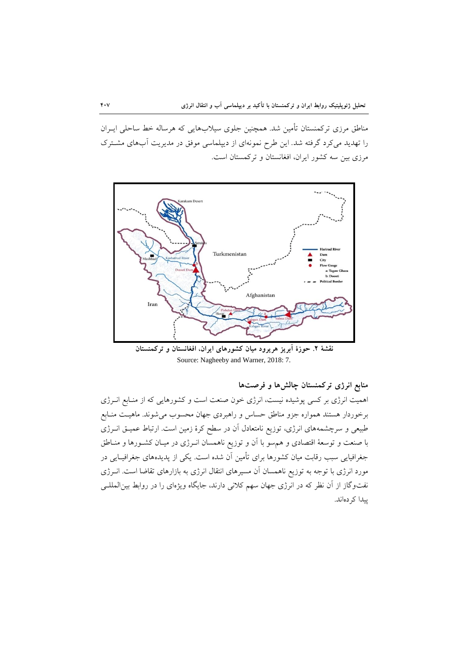مناطق مرزی ترکمنستان تأمین شد. همچنین جلوی سیلابهایی که هرساله خط ساحلی ایـران را تهدید میکرد گرفته شد. این طرح نمونهای از دیپلماسی موفق در مدیریت آبهای مشترک مرزی بین سه کشور ایران، افغانستان و ترکمستان است.



**نقشۀ .2 حوزة آبریز هریرود ميان كشورهاي ایران، افغانستان و تركمنستان** Source: Nagheeby and Warner, 2018: 7.

**منابع انرژي تركمنستان چالشها و فرصتها**

اهمیت انرژی بر کسی پوشیده نیست، انرژی خون صنعت است و کشورهایی که از منـابع انــرژی برخوردار هستند همواره جزو مناطق حساس و راهبردی جهان محسوب میشوند. ماهیـت منـابع طبیعی و سرچشمههای انرژی، توزیع نامتعادل آن در سطح کرهٔ زمین است. ارتباط عمیــق انــرژی با صنعت و توسعۀ اقتصادی و هم٬سو با آن و توزیع ناهمسان انـرژی در میـان کشـورها و منــاطق جغرافیایی سبب رقابت میان کشورها برای تأمین آن شده است. یکی از پدیدههای جغرافیـایی در مورد انرژی با توجه به توزیع ناهمسان آن مسیرهای انتقال انرژی به بازارهای تقاضا است. انعرژی نفت<code>وگاز</code> از آن نظر که در انرژی جهان سهم کلانی دارند، جایگاه ویژهای را در روابط بین|لمللـی پیدا کردهاند.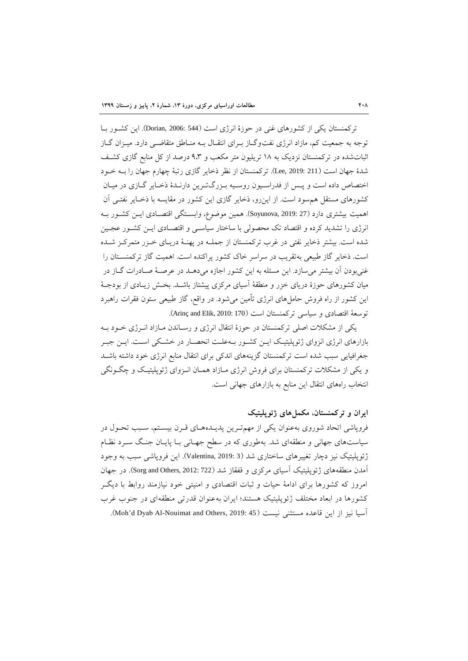ترکمنستان یکی از کشورهای غنی در حوزهٔ انرژی است (544 :Dorian, 2006). این کشـور بــا توجه به جمعیت کم، مازاد انرژی نفت وگــاز بــرای انتقــال بــه منــاطق متقاضــی دارد. میــزان گــاز اثباتشده در ترکمنستان نزدیک به ۱۸ تریلیون متر مکعب و ۹،۳ درصد از کل منابع گازی کشـف شدهٔ جهان است (211 :Lee, 2019). ترکمنستان از نظر ذخایر گازی رتبهٔ چهارم جهان را بــه خــود اختصاص داده است و پـس از فدراسـیون روسـیه بـزرگتـرین دارنـدهٔ ذخـایر گـازی در میـان کشورهای مستقل همسود است. از اینرو، ذخایر تازی این کشور در مقایسه با ذخعایر نفتعی آن اهمیت بیشتری دارد )27 2019: ,Soyunova). همین موضوع، وابسعتگی اقتصعادی ایعن کشعور بعه انرژی را تشدید کرده و اقتصاد تک محصولی با ساختار سیاسـی و اقتصـادی ایــن کشـور عجـین شده است. بیشتر ذخایر نفتی در غرب ترکمنستان از جملعه در پهنع دریعای خعزر متمرکعز شعده است. ذخایر گاز طبیعی بهتقریب در سراسر خاک کشور پراکنده است. اهمیت گاز ترکمنسـتان را غنیبودن آن بیشتر می سازد. این مسئله به این کشور اجازه می دهــد در عرصــهٔ صــادرات گــاز در میان کشورهای حوزهٔ دریای خزر و منطقهٔ آسیای مرکزی پیشتاز باشــد. بخــش زیــادی از بودجــهٔ این کشور از راه فروش حاملهای انرژی تأمین میشود. در واقع، گاز طبیعی ستون فقرات راهبرد توسعۀ اقتصادی و سیاسی ترکمنستان است (Arinç and Elik, 2010: 170).

یکی از مشکالت احلی ترکمنستان در حوز انتقال انرژی و رسعاندن معازاد انعرژی خعود بعه بازارهای انرژی انزوای ژئوپلیتیک ایـن کشـور بـهعلـت انحصـار در خشـکی اسـت. ایـن جبـر جغرافیایی سبب شده است ترکمنستان تزینههای اندکی برای انتقال منابع انرژی خود داشته باشعد و یکی از مشکلات ترکمنستان برای فروش انرژی مـازاد همـان انـزوای ژئوپلیتیـک و چگـونگی انتخاب راههای انتقال این منابع به بازارهای جهانی است.

## **ایران و تركمنستان، مکملهاي ژئوپليتيک**

فروپاشی اتحاد شوروی بهعنوان یکی از مهمتـرین پدیــدههـای قــرن بیســتم، ســبب تحــول در سیاستهای جهانی و منطقهای شد. بهطوری که در سطح جهـانی بـا پایــان جنـگ ســرد نظـام ژئوپلیتیک نیز دچار تغییرهای ساختاری شد (3 2019: Valentina, 2019:). این فروپاشی سبب به وجود آمدن منطقههای ژئوپلیتیک آسیای مرکزی و قفقاز شد (Sorg and Others, 2012: 722). در جهان امروز که کشورها برای ادامهٔ حیات و ثبات اقتصادی و امنیتی خود نیازمند روابط با دیگـر کشورها در ابعاد مختلف ژئوپلیتیک هستند؛ ایران بهعنوان قدرتی منطقهای در جنوب غرب آسیا نیز از این قاعده مستثنی نیست (45 :Moh'd Dyab Al-Nouimat and Others, 2019).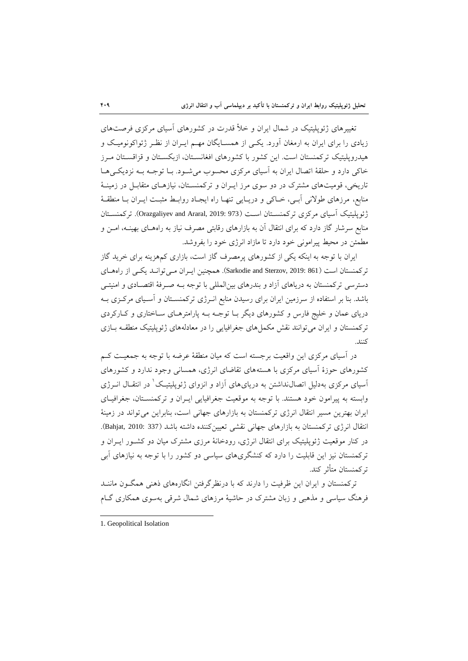تغییرهای ژئوپلیتیک در شمال ایران و خلأ قدرت در کشورهای آسیای مرکزی فرصتهای زیادی را برای ایران به ارمغان آورد. یکعی از همسعایگان مهعم ایعران از نظعر ژئواکو نومیع و هیدروپلیتیک ترکمنستان است. این کشور با کشورهای افغانسـتان، ازبکسـتان و قزاقسـتان مـرز خاکی دارد و حلقهٔ اتصال ایران به آسیای مرکزی محسوب می شود. بـا توجـه بـه نزدیکـیهـا تاریخی، قومیتهای مشترک در دو سوی مرز ایـران و ترکمنسـتان، نیازهـای متقابـل در زمینـهٔ منابع، مرزهای طولانی آبـی، خـاکی و دریـایی تنهـا راه ایجـاد روابـط مثبـت ایــران بــا منطقــهٔ ژئوپلیتیک آسیای مرکزی ترکمنسـتان اسـت (973 :019 :0razgaliyev and Araral, 2019). ترکمنسـتان منابع سرشار تاز دارد که برای انتقال آن به بازارهای رقابتی مصرف نیاز به راههعای بهینعه، امعن و مطمئن در محیط پیرامونی خود دارد تا مازاد انرژی خود را بفروشد.

ایران با توجه به اینکه یکی از کشورهای پرمصرف گاز است، بازاری کمهزینه برای خرید گاز ترکمنستان است (861 :Sarkodie and Sterzov, 2019). همچنین ایـران مـی توانـد یکـی از راههـای دسترسی ترکمنستان به دریاهای آزاد و بندرهای بین|لمللی با توجه بــه صـرفهٔ اقتصــادی و امنیتــی باشد. بنا بر استفاده از سرزمین ایران برای رسیدن منابع انعرژی ترکمنسعتان و آسعیای مرکعزی بعه دریای عمان و خلیج فارس و کشورهای دیگر بـا توجـه بـه پارامترهـای سـاختاری و کـارکردی ترکمنستان و ایران می توانند نقش مکمل های جغرافیایی را در معادلههای ژئوپلیتیک منطقـه بـازی کنند.

در آسیای مرکزی این واقعیت برجسته است که میان منطقهٔ عرضه با توجه به جمعیت کـم کشورهای حوز آسیای مرکزی با هستههای تقاضای انرژی، همسانی وجود ندارد و کشورهای 0 آسیای مرکزی بهدلیل اتصالنداشتن به دریایهای آزاد و انزوای ژئوپلیتیع در انتقعال انعرژی وابسته به پیرامون خود هستند. با توجه به موقعیت جغرافیایی ایـران و ترکمنسـتان، جغرافیـای ایران بهترین مسیر انتقال انرژی ترکمنستان به بازارهای جهانی است، بنابراین میتواند در زمین انتقال انرژی ترکمنستان به بازارهای جهانی نقشی تعیینکننده داشته باشد (337 :Bahjat, 2010: 337). در کنار موقعیت ژئوپلیتیک برای انتقال انرژی، رودخانهٔ مرزی مشترک میان دو کشـور ایــران و ترکمنستان نیز این قابلیت را دارد که کنشگریهای سیاسی دو کشور را با توجه به نیازهای آبی ترکمنستان متأثر کند.

ترکمنستان و ایران این ظرفیت را دارند که با درنظرترفتن انگارههای ذهنی همگعون ماننعد فرهنگ سیاسی و مذهبی و زبان مشترک در حاشیهٔ مرزهای شمال شرقی بهسوی همکاری گـام

<sup>1.</sup> Geopolitical Isolation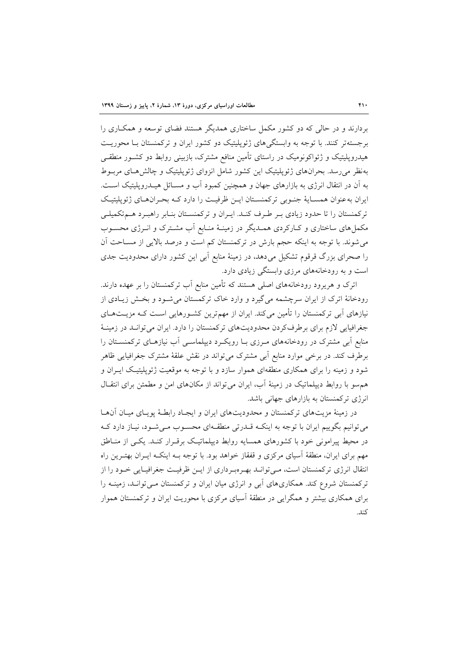بردارند و در حالی که دو کشور مکمل ساختاری همدیگر هستند فضای توسۀه و همکعاری را برجستهتر کنند. با توجه به وابستگیهای ژئوپلیتی دو کشور ایران و ترکمنستان بعا محوریعت هیدروپلیتیک و ژئواکونومیک در راستای تأمین منافع مشترک، بازبینی روابط دو کشـور منطقـی بهنظر می رسد. بحرانهای ژئوپلیتیک این کشور شامل انزوای ژئوپلیتیک و چالشهای مربوط به آن در انتقال انرژی به بازارهای جهان و همینین کمبود آب و مسعائل هیعدروپلیتی اسعت. ایران به عنوان همسـایهٔ جنـوبی ترکمنسـتان ایـن ظرفیـت را دارد کـه بحـران هـای ژئوپلیتیـک ترکمنستان را تا حدود زیادی بر طرف کنـد. ایـران و ترکمنسـتان بنـابر راهبـرد هـم تکمیلـی مکمل های ساختاری و کـارکردی همـدیگر در زمینـهٔ منـابع آب مشـترک و انــرژی محســوب می شوند. با توجه به اینکه حجم بارش در ترکمنستان کم است و درصد بالایی از مسـاحت آن را صحرای بزرگ قرقوم تشکیل میدهد، در زمینهٔ منابع آبی این کشور دارای محدودیت جدی است و به رودخانههای مرزی وابستگی زیادی دارد.

اترک و هریرود رودخانههای احلی هستند که تأمین منابع آب ترکمنستان را بر عهده دارند. رودخانهٔ اترک از ایران سرچشمه میگیرد و وارد خاک ترکمستان می شـود و بخـش زیـادی از نیازهای آبی ترکمنستان را تأمین میکند. ایران از مهمترین کشعورهایی اسعت کعه مزیعت هعای جغرافیایی لازم برای برطرفکردن محدودیتهای ترکمنستان را دارد. ایران میتوانـد در زمینـهٔ منابع آبی مشترک در رودخانههای معرزی بعا رویکعرد دیپلماسعی آب نیازهعای ترکمنسعتان را برطرف کند. در برخی موارد منابع آبی مشترک می تواند در نقش علقهٔ مشترک جغرافیایی ظاهر شود و زمینه را برای همکاری منطقهای هموار سازد و با توجه به موقعیت ژئوپلیتیک ایــران و هم سو با روابط دیپلماتیک در زمینهٔ آب، ایران می تواند از مکانهای امن و مطمئن برای انتقـال انرژی ترکمنستان به بازارهای جهانی باشد.

در زمینهٔ مزیتهای ترکمنستان و محدودیتهای ایران و ایجاد رابطـهٔ پویـای میـان آنهـا میتوانیم بگوییم ایران با توجه به اینکعه قعدرتی منطقعه ای محسعوب معی شعود، نیعاز دارد کعه در محیط پیرامونی خود با کشورهای همسایه روابط دیپلماتیک برقـرار کنـد. یکـی از منـاطق مهم برای ایران، منطقهٔ آسیای مرکزی و قفقاز خواهد بود. با توجه بـه اینکـه ایــران بهتـرین راه انتقال انرژی ترکمنستان است، مـی توانـد بهـرهبـرداری از ایـن ظرفیـت جغرافیـایی خـود را از ترکمنستان شروع کند. همکاریهای آبی و انرژی میان ایران و ترکمنستان معی توانعد، زمینعه را برای همکاری بیشتر و همگرایی در منطق آسیای مرکزی با محوریت ایران و ترکمنستان هموار کند.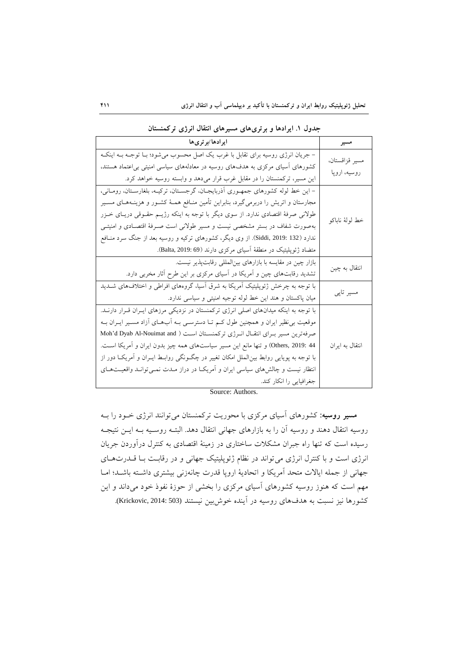| ايرادها/برترىها                                                                              | مسير            |
|----------------------------------------------------------------------------------------------|-----------------|
| – جریان انرژی روسیه برای تقابل با غرب یک اصل محسوب میشود؛ بـا توجـه بـه اینکـه               | مسير قزاقستان،  |
| کشورهای اَسیای مرکزی به هدفهای روسیه در معادلههای سیاسی امنیتی بی عتماد هستند،               |                 |
| این مسیر، ترکمنستان را در مقابل غرب قرار میدهد و وابسته روسیه خواهد کرد.                     | روسیه، اروپا    |
| – این خط لوله کشورهای جمهوری آذربایجـان، گرجسـتان، ترکیـه، بلغارسـتان، رومـانی،              |                 |
| مجارستان و اتریش را دربرمی گیرد، بنابراین تأمین منــافع هـمــهٔ کشــور و هزینــههــای مســیر |                 |
| طولانی صرفهٔ اقتصادی ندارد. از سوی دیگر با توجه به اینکه رژیـم حقــوقی دریــای خــزر         |                 |
| بهصورت شفاف در بستر مشخصی نیست و مسیر طولانی است صـرفهٔ اقتصـادی و امنیتـی                   | خط لولهٔ ناباکو |
| ندارد (Siddi, 2019: 132). از وی دیگر، کشورهای ترکیه و روسیه بعد از جنگ سرد منــافع           |                 |
| متضاد ژئوپلیتیک در منطقهٔ آسیای مرکزی دارند (Balta, 2019: 69).                               |                 |
| بازار چین در مقایسه با بازارهای بینالمللی رقابتپذیر نیست.                                    | انتقال به چین   |
| تشدید رقابتهای چین و آمریکا در آسیای مرکزی بر این طرح آثار مخربی دارد.                       |                 |
| با توجه به چرخش ژئوپلیتیک آمریکا به شرق آسیا، گروههای افراطی و اختلافهای شــدید              |                 |
| میان پاکستان و هند این خط لوله توجیه امنیتی و سیاسی ندارد.                                   | مسیر تاپی       |
| با توجه به اینکه میدانهای اصلی انرژی ترکمنستان در نزدیکی مرزهای ایـران قـرار دارنــد.        |                 |
| موقعیت بی نظیر ایران و همچنین طول کـم تــا دسترســی بــه اَبـهــای اَزاد مســیر ایــران بــه |                 |
| صرفهترین مسیر بـرای انتقــال انــرژی ترکمنســتان اســت ( Moh'd Dyab Al-Nouimat and           |                 |
| Others, 2019: 44) و تنها مانع این مسیر سیاستهای همه چیز بدون ایران و اَمریکا اســت.          | انتقال به ایران |
| با توجه به پویایی روابط بینالملل امکان تغییر در چگـونگی روابـط ایــران و آمریکــا دور از     |                 |
| انتظار نیست و چالش،های سیاسی ایران و اَمریکـا در دراز مــدت نـمـیتوانــد واقعیــتهــای       |                 |
| جغرافیایی را انکار کند.                                                                      |                 |

**جدول .3 ایرادها و برتريهاي مسيرهاي انتقال انرژي تركمنستان**

Source: Authors.

**مسير روسيه:** کشورهای آسیای مرکزی با محوریت ترکمنستان میتوانند انرژی خعود را بعه روسیه انتقال دهند و روسیه آن را به بازارهای جهانی انتقال دهد. البتـه روسـیه بــه ایــن نتیجــه رسیده است که تنها راه جبران مشکلات ساختاری در زمینهٔ اقتصادی به کنترل درآوردن جریان انرژی است و با کنترل انرژی می تواند در نظام ژئوپلیتیک جهانی و در رقابت بـا قــدرتهـای جهانی از جمله ایالات متحد آمریکا و اتحادیهٔ اروپا قدرت چانهزنی بیشتری داشته باشد؛ امـا مهم است که هنوز روسیه کشورهای آسیای مرکزی را بخشی از حوز نفوذ خود میداند و این کشورها نیز نسبت به هدفهای روسیه در آینده خوش بین نیستند (Krickovic, 2014: 503).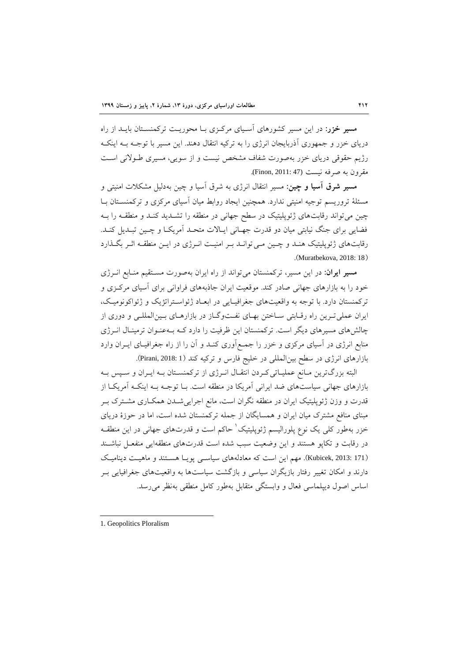**مسير خزر:** در این مسیر کشورهای آسعیای مرکعزی بعا محوریعت ترکمنسعتان بایعد از راه دریای خزر و جمهوری آذربایجان انرژی را به ترکیه انتقال دهند. این مسیر با توجعه بعه اینکعه رژیم حقوقی دریای خزر بهحورت شفاف مشخص نیست و از سویی، مسیری طعوینی اسعت مقرون به صرفه نیست (47 :Finon, 2011).

**مسير شرق آسيا و چين:** مسیر انتقال انرژی به شرق آسیا و چین بهدلیل مشکالت امنیتی و مسئلهٔ تروریسم توجیه امنیتی ندارد. همچنین ایجاد روابط میان آسیای مرکزی و ترکمنسـتان بـا چین میتواند رقابتهای ژئوپلیتیک در سطح جهانی در منطقه را تشـدید کنـد و منطقـه را بـه فضایی برای جنگ نیابتی میان دو قدرت جهـانی ایـالات متحـد آمریکـا و چـین تبـدیل کنـد. رقابتهای ژئوپلیتیک هنـد و چــین مــی توانـد بــر امنیــت انــرژی در ایــن منطقــه اثــر بگــذارد .(Muratbekova, 2018: 18)

مس**یر ایران**: در این مسیر، ترکمنستان میتواند از راه ایران بهصورت مسـتقیم منـابع انــرژی خود را به بازارهای جهانی صادر کند. موقعیت ایران جاذبههای فراوانی برای آسیای مرکـزی و ترکمنستان دارد. با توجه به واقعیتهای جغرافیـایی در ابعـاد ژئواسـتراتژیک و ژئواکونومیـک، ایران عملی تـرین راه رقـابتی سـاختن بهـای نفـتوگـاز در بازارهـای بـینالمللـی و دوری از چالشهای مسیرهای دیگر است. ترکمنستان این ظرفیت را دارد کـه بـهعنـوان ترمینـال انـرژی منابع انرژی در آسیای مرکزی و خزر را جمعع آوری کنعد و آن را از راه جغرافیعای ایعران وارد بازارهای انرژی در سطح بین المللی در خلیج فارس و ترکیه کند (Pirani, 2018: 1).

البته بزرگترین مـانع عملیـاتی کـردن انتقـال انـرژی از ترکمنسـتان بـه ایـران و سـپس بـه بازارهای جهانی سیاستهای ضد ایرانی آمریکا در منطقه است. بـا توجـه بـه اینکـه آمریکـا از قدرت و وزن ژئوپلیتیک ایران در منطقه نگران است، مانع اجراییشـدن همکـاری مشــترک بــر مبنای منافع مشترک میان ایران و همسایگان از جمله ترکمنستان شده است، اما در حوز دریای خزر بهطور کلی یک نوع پلورالیسم ژئوپلیتیک ٰ حاکم است و قدرتهای جهانی در این منطقــه در رقابت و تکاپو هستند و این وضعیت سبب شده است قدرتهای منطقهایی منفعـل نباشـند (Kubicek, 2013: 171). مهم این است که معادلههای سیاسبی پویـا هسـتند و ماهیـت دینامیـک دارند و امکان تغییر رفتار بازیگران سیاسی و بازگشت سیاستها به واقعیتهای جغرافیایی بـر اساس اصول دیپلماسی فعال و وابستگی متقابل بهطور کامل منطقی بهنظر میرسد.

<sup>1.</sup> Geopolitics Ploralism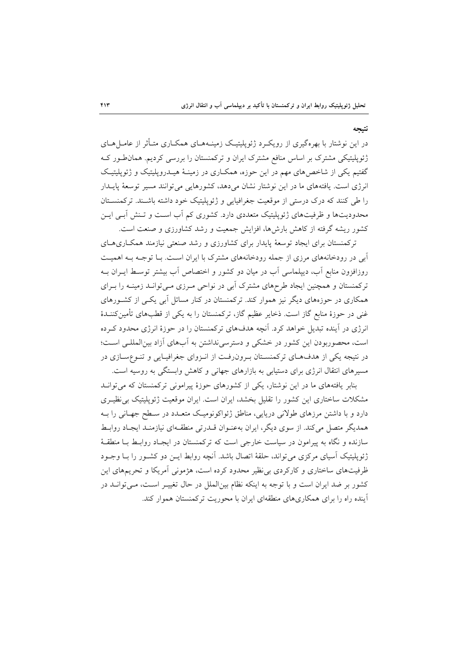**نتيجه**

در این نوشتار با بهرهگیری از رویک د ژئوپلیتیک زمینـههـای همکـاری متـأثر از عامـل۱هـای ژئوپلیتیکی مشترک بر اساس منافع مشترک ایران و ترکمنستان را بررسی کردیم. همانطعور کعه گفتیم یکی از شاخصهای مهم در این حوزه، همکـاری در زمینـهٔ هیـدروپلیتیک و ژئوپلیتیـک انرژی است. یافتههای ما در این نوشتار نشان می دهد، کشورهایی می توانند مسیر توسعۀ پایــدار را طی کنند که درک درستی از موقعیت جغرافیایی و ژئوپلیتیک خود داشته باشـند. ترکمنسـتان محدودیتها و ظرفیتهای ژئوپلیتیک متعددی دارد. کشوری کم آب است و تـنش آبـی ایـن کشور ریشه گرفته از کاهش بارشها، افزایش جمعیت و رشد کشاورزی و صنعت است.

ترکمنستان برای ایجاد توسعۀ پایدار برای کشاورزی و رشد صنعتی نیازمند همکاری های آبی در رودخانههای مرزی از جمله رودخانههای مشترک با ایران است. بـا توجـه بـه اهمیـت روزافزون منابع آب، دیپلماسی آب در میان دو کشور و اختصاص آب بیشتر توسـط ایــران بــه ترکمنستان و همینین ایجاد طرحهای مشترک آبی در نواحی معرزی معی توانعد زمینعه را بعرای همکاری در حوزههای دیگر نیز هموار کند. ترکمنستان در کنار مسائل آبی یکعی از کشعورهای غنی در حوزهٔ منابع گاز است. ذخایر عظیم گاز، ترکمنستان را به یکی از قطبهای تأمینکننــدهٔ انرژی در آینده تبدیل خواهد کرد. آنیه هدفهای ترکمنستان را در حوز انرژی محدود کعرده است، محصوربودن این کشور در خشکی و دسترسینداشتن به آبهای آزاد بینالمللعی اسعت؛ در نتیجه یکی از هدفهای ترکمنستان برون رفت از انـزوای جغرافیـایی و تنـوعسـازی در مسیرهای انتقال انرژی برای دستیابی به بازارهای جهانی و کاهش وابستگی به روسیه است.

بنابر یافتههای ما در این نوشتار، یکی از کشورهای حوز پیرامونی ترکمنستان که میتوانعد مشکلات ساختاری این کشور را تقلیل بخشد، ایران است. ایران موقعیت ژئوپلیتیک بی نظیـری دارد و با داشتن مرزهای طولانی دریایی، مناطق ژئواکونومیک متعـدد در سـطح جهـانی را بـه همدیگر متصل میکند. از سوی دیگر، ایران بهعنـوان قــدرتی منطقــهای نیازمنـد ایجـاد روابـط سازنده و نگاه به پیرامون در سیاست خارجی است که ترکمنستان در ایجـاد روابـط بـا منطقـهٔ ژئوپلیتیک آسیای مرکزی می تواند، حلقهٔ اتصال باشد. آنچه روابط ایــن دو کشــور را بــا وجــود ظرفیتهای ساختاری و کارکردی بینظیر محدود کرده است، هژمونی آمریکا و تحریمهای این کشور بر ضد ایران است و با توجه به اینکه نظام بینالملل در حال تغییعر اسعت، معی توانعد در آینده راه را برای همکاریهای منطقهای ایران با محوریت ترکمنستان هموار کند.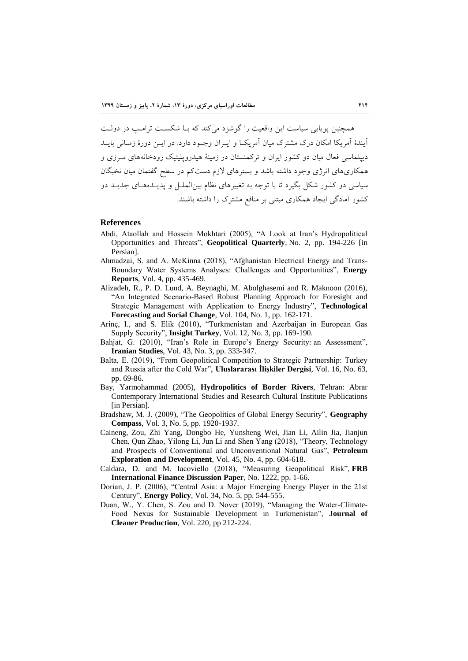همچنین پویایی سیاست این واقعیت را گوشزد میکند که بـا شکسـت ترامـب در دولـت آیندهٔ آمریکا امکان درک مشترک میان آمریکیا و ایبران وجبود دارد. در این دورهٔ زمیانی بایید دیپلماسی فعال میان دو کشور ایران و ترکمنستان در زمینهٔ هیدروپلیتیک رودخانههای مـرزی و همکاریهای انرژی وجود داشته باشد و بسترهای یزم دستکم در سطق تفتمان میان نخبگان سیاسی دو کشور شکل بگیرد تا با توجه به تغییرهای نظام بینالملعل و پدیعده هعای جدیعد دو کشور آمادتی ایجاد همکاری مبتنی بر منافع مشترک را داشته باشند.

#### **References**

- Abdi, Ataollah and Hossein Mokhtari (2005), "A Look at Iran's Hydropolitical Opportunities and Threats", **Geopolitical Quarterly**, No. 2, pp. 194-226 [in Persian].
- Ahmadzai, S. and A. McKinna (2018), "Afghanistan Electrical Energy and Trans-Boundary Water Systems Analyses: Challenges and Opportunities", **Energy Reports**, Vol. 4, pp. 435-469.
- Alizadeh, R., P. D. Lund, A. Beynaghi, M. Abolghasemi and R. Maknoon (2016), "An Integrated Scenario-Based Robust Planning Approach for Foresight and Strategic Management with Application to Energy Industry", **Technological Forecasting and Social Change**, Vol. 104, No. 1, pp. 162-171.
- Arinç, I., and S. Elik (2010), "Turkmenistan and Azerbaijan in European Gas Supply Security", **Insight Turkey**, Vol. 12, No. 3, pp. 169-190.
- Bahjat, G. (2010), "Iran's Role in Europe's Energy Security: an Assessment", **Iranian Studies**, Vol. 43, No. 3, pp. 333-347.
- Balta, E. (2019), "From Geopolitical Competition to Strategic Partnership: Turkey and Russia after the Cold War", **Uluslararası İlişkiler Dergisi**, Vol. 16, No. 63, pp. 69-86.
- Bay, Yarmohammad (2005), **Hydropolitics of Border Rivers**, Tehran: Abrar Contemporary International Studies and Research Cultural Institute Publications [in Persian].
- Bradshaw, M. J. (2009), "The Geopolitics of Global Energy Security", **Geography Compass**, Vol. 3, No. 5, pp. 1920-1937.
- Caineng, Zou, Zhi Yang, Dongbo He, Yunsheng Wei, Jian Li, Ailin Jia, Jianjun Chen, Qun Zhao, Yilong Li, Jun Li and Shen Yang (2018), "Theory, Technology and Prospects of Conventional and Unconventional Natural Gas", **Petroleum Exploration and Development**, Vol. 45, No. 4, pp. 604-618.
- Caldara, D. and M. Iacoviello (2018), "Measuring Geopolitical Risk", **FRB International Finance Discussion Paper**, No. 1222, pp. 1-66.
- Dorian, J. P. (2006), "Central Asia: a Major Emerging Energy Player in the 21st Century", **Energy Policy**, Vol. 34, No. 5, pp. 544-555.
- Duan, W., Y. Chen, S. Zou and D. Nover (2019), "Managing the Water-Climate-Food Nexus for Sustainable Development in Turkmenistan", **Journal of Cleaner Production**, Vol. 220, pp 212-224.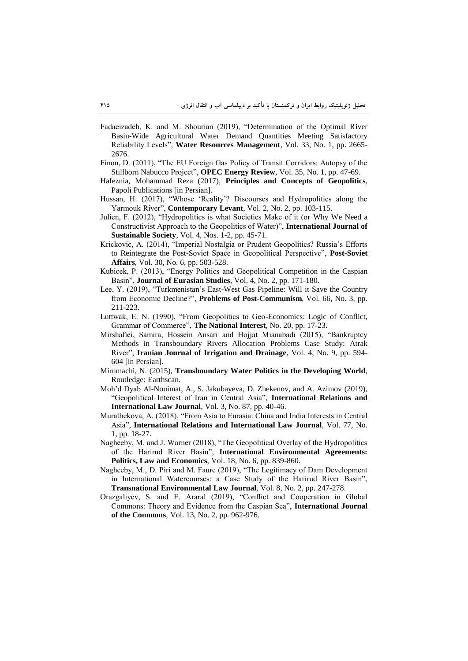- Fadaeizadeh, K. and M. Shourian (2019), "Determination of the Optimal River Basin-Wide Agricultural Water Demand Quantities Meeting Satisfactory Reliability Levels", **Water Resources Management**, Vol. 33, No. 1, pp. 2665- 2676.
- Finon, D. (2011), "The EU Foreign Gas Policy of Transit Corridors: Autopsy of the Stillborn Nabucco Project", **OPEC Energy Review**, Vol. 35, No. 1, pp. 47-69.
- Hafeznia, Mohammad Reza (2017), **Principles and Concepts of Geopolitics**, Papoli Publications [in Persian].
- Hussan, H. (2017), "Whose 'Reality'? Discourses and Hydropolitics along the Yarmouk River", **Contemporary Levant**, Vol. 2, No. 2, pp. 103-115.
- Julien, F. (2012), "Hydropolitics is what Societies Make of it (or Why We Need a Constructivist Approach to the Geopolitics of Water)", **International Journal of Sustainable Society**, Vol. 4, Nos. 1-2, pp. 45-71.
- Krickovic, A. (2014), "Imperial Nostalgia or Prudent Geopolitics? Russia's Efforts to Reintegrate the Post-Soviet Space in Geopolitical Perspective", **Post-Soviet Affairs**, Vol. 30, No. 6, pp. 503-528.
- Kubicek, P. (2013), "Energy Politics and Geopolitical Competition in the Caspian Basin", **Journal of Eurasian Studies**, Vol. 4, No. 2, pp. 171-180.
- Lee, Y. (2019), "Turkmenistan's East-West Gas Pipeline: Will it Save the Country from Economic Decline?", **Problems of Post-Communism**, Vol. 66, No. 3, pp. 211-223.
- Luttwak, E. N. (1990), "From Geopolitics to Geo-Economics: Logic of Conflict, Grammar of Commerce", **The National Interest**, No. 20, pp. 17-23.
- Mirshafiei, Samira, Hossein Ansari and Hojjat Mianabadi (2015), "Bankruptcy Methods in Transboundary Rivers Allocation Problems Case Study: Atrak River", **Iranian Journal of Irrigation and Drainage**, Vol. 4, No. 9, pp. 594- 604 [in Persian].
- Mirumachi, N. (2015), **Transboundary Water Politics in the Developing World**, Routledge: Earthscan.
- Moh'd Dyab Al-Nouimat, A., S. Jakubayeva, D. Zhekenov, and A. Azimov (2019), "Geopolitical Interest of Iran in Central Asia", **International Relations and International Law Journal**, Vol. 3, No. 87, pp. 40-46.
- Muratbekova, A. (2018), "From Asia to Eurasia: China and India Interests in Central Asia", **International Relations and International Law Journal**, Vol. 77, No. 1, pp. 18-27.
- Nagheeby, M. and J. Warner (2018), "The Geopolitical Overlay of the Hydropolitics of the Harirud River Basin", **International Environmental Agreements: Politics, Law and Economics**, Vol. 18, No. 6, pp. 839-860.
- Nagheeby, M., D. Piri and M. Faure (2019), "The Legitimacy of Dam Development in International Watercourses: a Case Study of the Harirud River Basin", **Transnational Environmental Law Journal**, Vol. 8, No. 2, pp. 247-278.
- Orazgaliyev, S. and E. Araral (2019), "Conflict and Cooperation in Global Commons: Theory and Evidence from the Caspian Sea", **International Journal of the Commons**, Vol. 13, No. 2, pp. 962-976.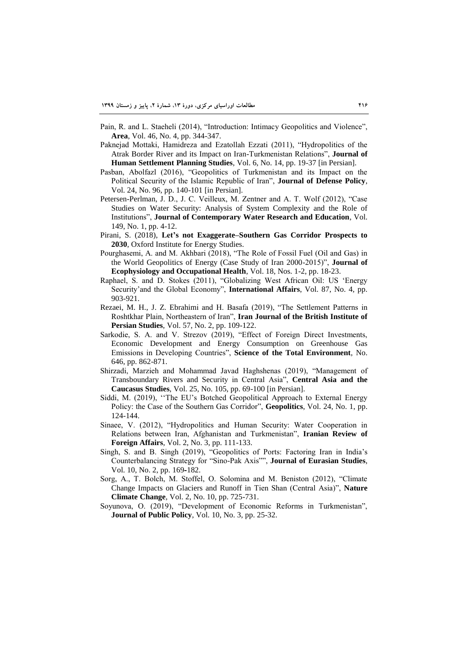- Pain, R. and L. Staeheli (2014), "Introduction: Intimacy Geopolitics and Violence", **Area**, Vol. 46, No. 4, pp. 344-347.
- Paknejad Mottaki, Hamidreza and Ezatollah Ezzati (2011), "Hydropolitics of the Atrak Border River and its Impact on Iran-Turkmenistan Relations", **Journal of Human Settlement Planning Studies**, Vol. 6, No. 14, pp. 19-37 [in Persian].
- Pasban, Abolfazl (2016), "Geopolitics of Turkmenistan and its Impact on the Political Security of the Islamic Republic of Iran", **Journal of Defense Policy**, Vol. 24, No. 96, pp. 140-101 [in Persian].
- Petersen-Perlman, J. D., J. C. Veilleux, M. Zentner and A. T. Wolf (2012), "Case Studies on Water Security: Analysis of System Complexity and the Role of Institutions", **Journal of Contemporary Water Research and Education**, Vol. 149, No. 1, pp. 4-12.
- Pirani, S. (2018), **Let's not Exaggerate–Southern Gas Corridor Prospects to 2030**, Oxford Institute for Energy Studies.
- Pourghasemi, A. and M. Akhbari (2018), "The Role of Fossil Fuel (Oil and Gas) in the World Geopolitics of Energy (Case Study of Iran 2000-2015)", **Journal of Ecophysiology and Occupational Health**, Vol. 18, Nos. 1-2, pp. 18-23.
- Raphael, S. and D. Stokes (2011), "Globalizing West African Oil: US 'Energy Security'and the Global Economy", **International Affairs**, Vol. 87, No. 4, pp. 903-921.
- Rezaei, M. H., J. Z. Ebrahimi and H. Basafa (2019), "The Settlement Patterns in Roshtkhar Plain, Northeastern of Iran", **Iran Journal of the British Institute of Persian Studies**, Vol. 57, No. 2, pp. 109-122.
- Sarkodie, S. A. and V. Strezov (2019), "Effect of Foreign Direct Investments, Economic Development and Energy Consumption on Greenhouse Gas Emissions in Developing Countries", **Science of the Total Environment**, No. 646, pp. 862-871.
- Shirzadi, Marzieh and Mohammad Javad Haghshenas (2019), "Management of Transboundary Rivers and Security in Central Asia", **Central Asia and the Caucasus Studies**, Vol. 25, No. 105, pp. 69-100 [in Persian].
- Siddi, M. (2019), ''The EU's Botched Geopolitical Approach to External Energy Policy: the Case of the Southern Gas Corridor", **Geopolitics**, Vol. 24, No. 1, pp. 124-144.
- Sinaee, V. (2012), "Hydropolitics and Human Security: Water Cooperation in Relations between Iran, Afghanistan and Turkmenistan", **Iranian Review of Foreign Affairs**, Vol. 2, No. 3, pp. 111-133.
- Singh, S. and B. Singh (2019), "Geopolitics of Ports: Factoring Iran in India's Counterbalancing Strategy for "Sino-Pak Axis"", **Journal of Eurasian Studies**, Vol. 10, No. 2, pp. 169**-**182.
- Sorg, A., T. Bolch, M. Stoffel, O. Solomina and M. Beniston (2012), "Climate Change Impacts on Glaciers and Runoff in Tien Shan (Central Asia)", **Nature Climate Change**, Vol. 2, No. 10, pp. 725-731.
- Soyunova, O. (2019), "Development of Economic Reforms in Turkmenistan", **Journal of Public Policy**, Vol. 10, No. 3, pp. 25-32.